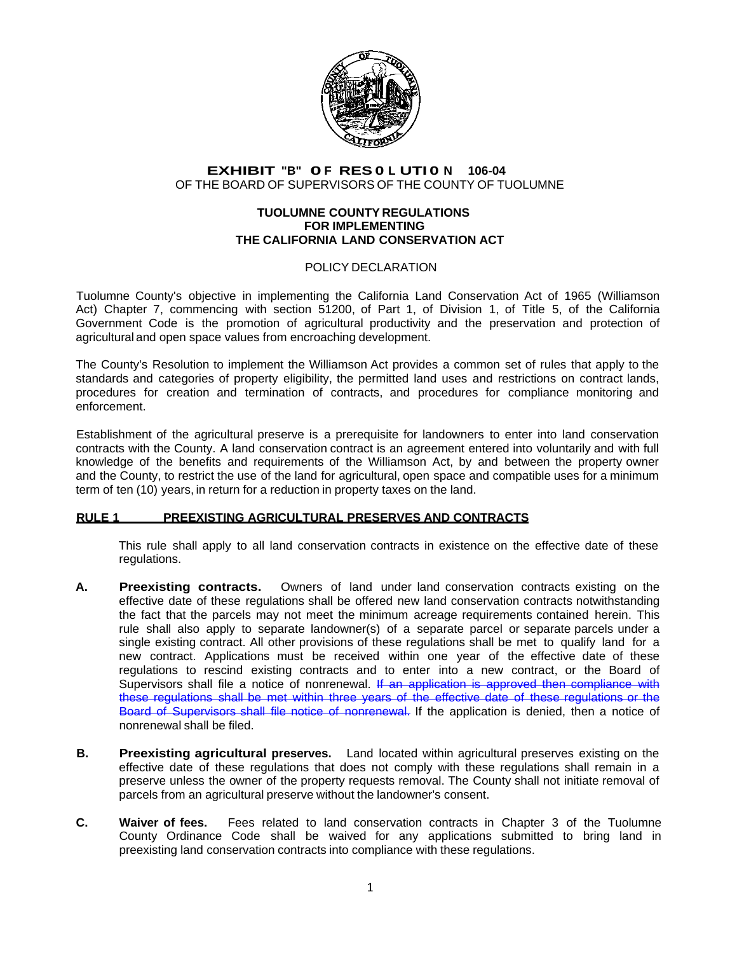

# **EXHIBIT "B" 0 F RES 0 L UTI 0 N 106-04**  OF THE BOARD OF SUPERVISORS OF THE COUNTY OF TUOLUMNE

#### **TUOLUMNE COUNTY REGULATIONS FOR IMPLEMENTING THE CALIFORNIA LAND CONSERVATION ACT**

# POLICY DECLARATION

Tuolumne County's objective in implementing the California Land Conservation Act of 1965 (Williamson Act) Chapter 7, commencing with section 51200, of Part 1, of Division 1, of Title 5, of the California Government Code is the promotion of agricultural productivity and the preservation and protection of agricultural and open space values from encroaching development.

The County's Resolution to implement the Williamson Act provides a common set of rules that apply to the standards and categories of property eligibility, the permitted land uses and restrictions on contract lands, procedures for creation and termination of contracts, and procedures for compliance monitoring and enforcement.

Establishment of the agricultural preserve is a prerequisite for landowners to enter into land conservation contracts with the County. A land conservation contract is an agreement entered into voluntarily and with full knowledge of the benefits and requirements of the Williamson Act, by and between the property owner and the County, to restrict the use of the land for agricultural, open space and compatible uses for a minimum term of ten (10) years, in return for a reduction in property taxes on the land.

### **RULE 1 PREEXISTING AGRICULTURAL PRESERVES AND CONTRACTS**

This rule shall apply to all land conservation contracts in existence on the effective date of these regulations.

- **A. Preexisting contracts.** Owners of land under land conservation contracts existing on the effective date of these regulations shall be offered new land conservation contracts notwithstanding the fact that the parcels may not meet the minimum acreage requirements contained herein. This rule shall also apply to separate landowner(s) of a separate parcel or separate parcels under a single existing contract. All other provisions of these regulations shall be met to qualify land for a new contract. Applications must be received within one year of the effective date of these regulations to rescind existing contracts and to enter into a new contract, or the Board of Supervisors shall file a notice of nonrenewal. If an application is approved then compliance with these regulations shall be met within three years of the effective date of these regulations or the Board of Supervisors shall file notice of nonrenewal. If the application is denied, then a notice of nonrenewal shall be filed.
- **B. Preexisting agricultural preserves.** Land located within agricultural preserves existing on the effective date of these regulations that does not comply with these regulations shall remain in a preserve unless the owner of the property requests removal. The County shall not initiate removal of parcels from an agricultural preserve without the landowner's consent.
- **C. Waiver of fees.** Fees related to land conservation contracts in Chapter 3 of the Tuolumne County Ordinance Code shall be waived for any applications submitted to bring land in preexisting land conservation contracts into compliance with these regulations.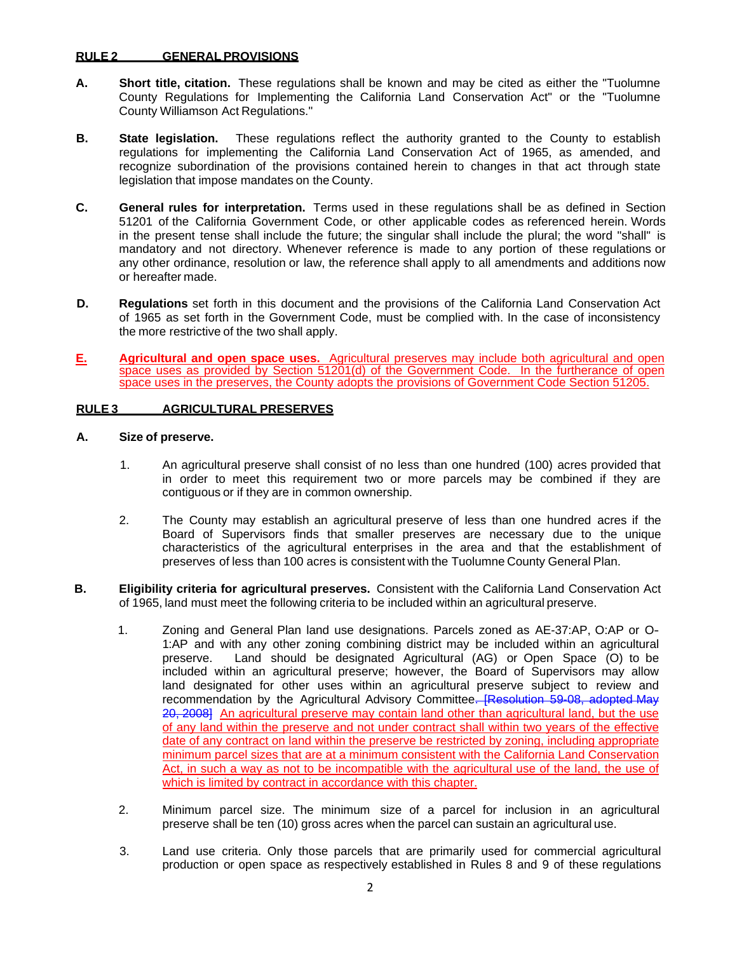## **RULE 2 GENERAL PROVISIONS**

- **A. Short title, citation.** These regulations shall be known and may be cited as either the "Tuolumne County Regulations for Implementing the California Land Conservation Act" or the "Tuolumne County Williamson Act Regulations."
- **B. State legislation.** These regulations reflect the authority granted to the County to establish regulations for implementing the California Land Conservation Act of 1965, as amended, and recognize subordination of the provisions contained herein to changes in that act through state legislation that impose mandates on the County.
- **C. General rules for interpretation.** Terms used in these regulations shall be as defined in Section 51201 of the California Government Code, or other applicable codes as referenced herein. Words in the present tense shall include the future; the singular shall include the plural; the word "shall" is mandatory and not directory. Whenever reference is made to any portion of these regulations or any other ordinance, resolution or law, the reference shall apply to all amendments and additions now or hereafter made.
- **D. Regulations** set forth in this document and the provisions of the California Land Conservation Act of 1965 as set forth in the Government Code, must be complied with. In the case of inconsistency the more restrictive of the two shall apply.
- **E. Agricultural and open space uses.** Agricultural preserves may include both agricultural and open space uses as provided by Section 51201(d) of the Government Code. In the furtherance of open space uses in the preserves, the County adopts the provisions of Government Code Section 51205.

### **RULE 3 AGRICULTURAL PRESERVES**

# **A. Size of preserve.**

- 1. An agricultural preserve shall consist of no less than one hundred (100) acres provided that in order to meet this requirement two or more parcels may be combined if they are contiguous or if they are in common ownership.
- 2. The County may establish an agricultural preserve of less than one hundred acres if the Board of Supervisors finds that smaller preserves are necessary due to the unique characteristics of the agricultural enterprises in the area and that the establishment of preserves of less than 100 acres is consistent with the Tuolumne County General Plan.
- **B. Eligibility criteria for agricultural preserves.** Consistent with the California Land Conservation Act of 1965, land must meet the following criteria to be included within an agricultural preserve.
	- 1. Zoning and General Plan land use designations. Parcels zoned as AE-37:AP, O:AP or O-1:AP and with any other zoning combining district may be included within an agricultural preserve. Land should be designated Agricultural (AG) or Open Space (O) to be included within an agricultural preserve; however, the Board of Supervisors may allow land designated for other uses within an agricultural preserve subject to review and recommendation by the Agricultural Advisory Committee. [Resolution 59-08, adopted May 20, 2008] An agricultural preserve may contain land other than agricultural land, but the use of any land within the preserve and not under contract shall within two years of the effective date of any contract on land within the preserve be restricted by zoning, including appropriate minimum parcel sizes that are at a minimum consistent with the California Land Conservation Act, in such a way as not to be incompatible with the agricultural use of the land, the use of which is limited by contract in accordance with this chapter.
	- 2. Minimum parcel size. The minimum size of a parcel for inclusion in an agricultural preserve shall be ten (10) gross acres when the parcel can sustain an agricultural use.
	- 3. Land use criteria. Only those parcels that are primarily used for commercial agricultural production or open space as respectively established in Rules 8 and 9 of these regulations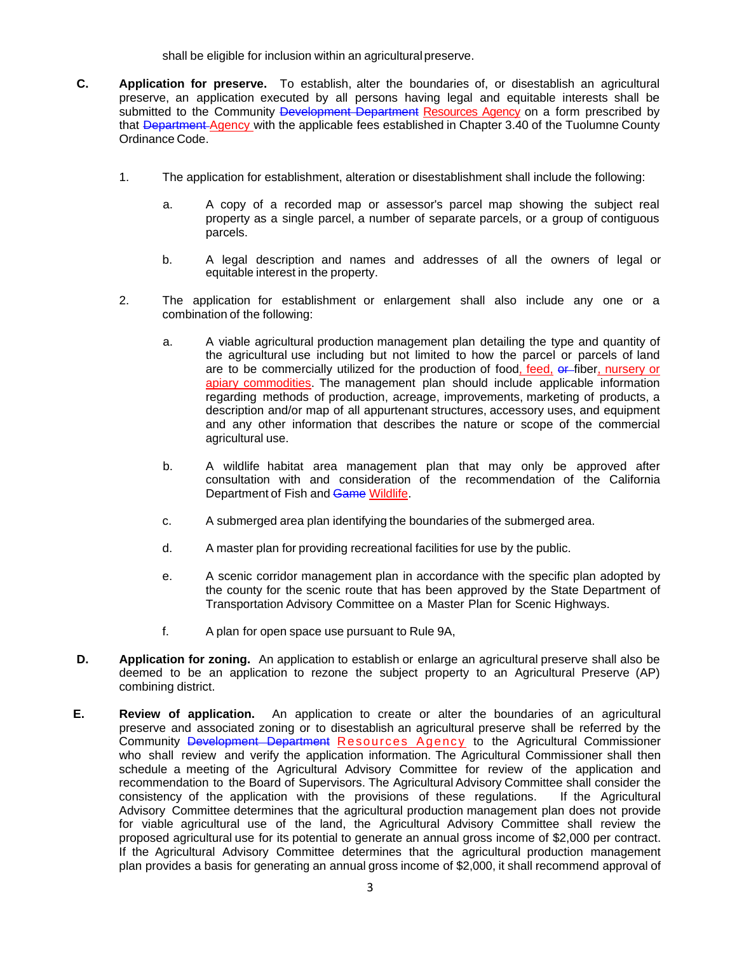shall be eligible for inclusion within an agricultural preserve.

- **C. Application for preserve.** To establish, alter the boundaries of, or disestablish an agricultural preserve, an application executed by all persons having legal and equitable interests shall be submitted to the Community Development Department Resources Agency on a form prescribed by that Department Agency with the applicable fees established in Chapter 3.40 of the Tuolumne County Ordinance Code.
	- 1. The application for establishment, alteration or disestablishment shall include the following:
		- a. A copy of a recorded map or assessor's parcel map showing the subject real property as a single parcel, a number of separate parcels, or a group of contiguous parcels.
		- b. A legal description and names and addresses of all the owners of legal or equitable interest in the property.
	- 2. The application for establishment or enlargement shall also include any one or a combination of the following:
		- a. A viable agricultural production management plan detailing the type and quantity of the agricultural use including but not limited to how the parcel or parcels of land are to be commercially utilized for the production of food, feed, or fiber, nursery or apiary commodities. The management plan should include applicable information regarding methods of production, acreage, improvements, marketing of products, a description and/or map of all appurtenant structures, accessory uses, and equipment and any other information that describes the nature or scope of the commercial agricultural use.
		- b. A wildlife habitat area management plan that may only be approved after consultation with and consideration of the recommendation of the California Department of Fish and Game Wildlife.
		- c. A submerged area plan identifying the boundaries of the submerged area.
		- d. A master plan for providing recreational facilities for use by the public.
		- e. A scenic corridor management plan in accordance with the specific plan adopted by the county for the scenic route that has been approved by the State Department of Transportation Advisory Committee on a Master Plan for Scenic Highways.
		- f. A plan for open space use pursuant to Rule 9A,
- **D.** Application for zoning. An application to establish or enlarge an agricultural preserve shall also be deemed to be an application to rezone the subject property to an Agricultural Preserve (AP) combining district.
- **E. Review of application.** An application to create or alter the boundaries of an agricultural preserve and associated zoning or to disestablish an agricultural preserve shall be referred by the Community Development Department Resources Agency to the Agricultural Commissioner who shall review and verify the application information. The Agricultural Commissioner shall then schedule a meeting of the Agricultural Advisory Committee for review of the application and recommendation to the Board of Supervisors. The Agricultural Advisory Committee shall consider the consistency of the application with the provisions of these regulations. If the Agricultural Advisory Committee determines that the agricultural production management plan does not provide for viable agricultural use of the land, the Agricultural Advisory Committee shall review the proposed agricultural use for its potential to generate an annual gross income of \$2,000 per contract. If the Agricultural Advisory Committee determines that the agricultural production management plan provides a basis for generating an annual gross income of \$2,000, it shall recommend approval of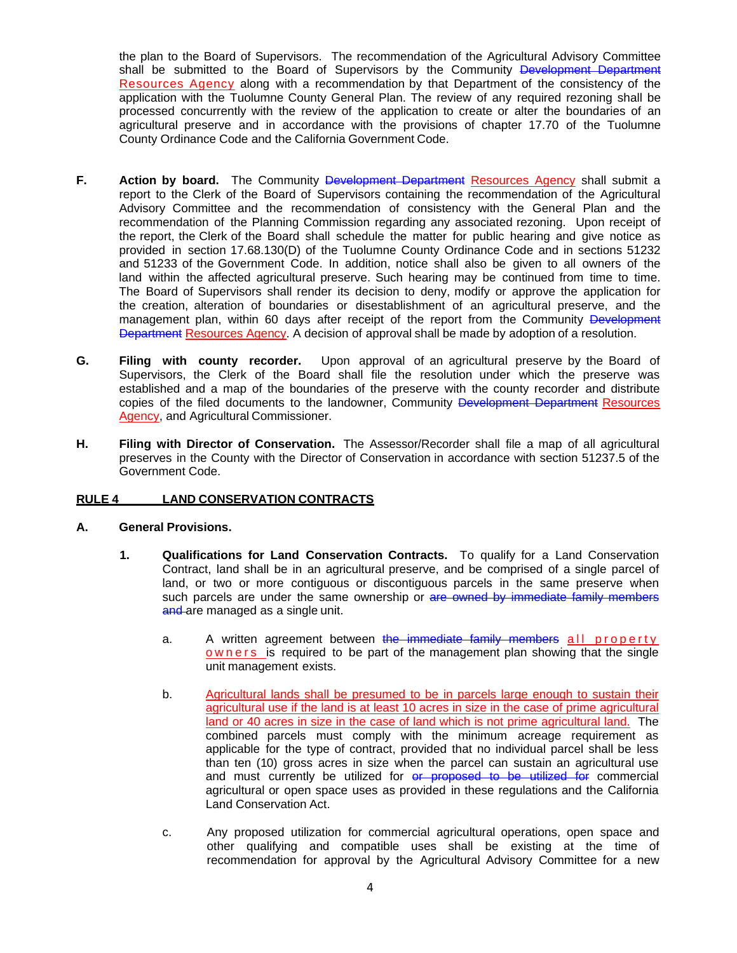the plan to the Board of Supervisors. The recommendation of the Agricultural Advisory Committee shall be submitted to the Board of Supervisors by the Community Development Department Resources Agency along with a recommendation by that Department of the consistency of the application with the Tuolumne County General Plan. The review of any required rezoning shall be processed concurrently with the review of the application to create or alter the boundaries of an agricultural preserve and in accordance with the provisions of chapter 17.70 of the Tuolumne County Ordinance Code and the California Government Code.

- **F.** Action by board. The Community Development Department Resources Agency shall submit a report to the Clerk of the Board of Supervisors containing the recommendation of the Agricultural Advisory Committee and the recommendation of consistency with the General Plan and the recommendation of the Planning Commission regarding any associated rezoning. Upon receipt of the report, the Clerk of the Board shall schedule the matter for public hearing and give notice as provided in section 17.68.130(D) of the Tuolumne County Ordinance Code and in sections 51232 and 51233 of the Government Code. In addition, notice shall also be given to all owners of the land within the affected agricultural preserve. Such hearing may be continued from time to time. The Board of Supervisors shall render its decision to deny, modify or approve the application for the creation, alteration of boundaries or disestablishment of an agricultural preserve, and the management plan, within 60 days after receipt of the report from the Community Development Department Resources Agency. A decision of approval shall be made by adoption of a resolution.
- **G. Filing with county recorder.** Upon approval of an agricultural preserve by the Board of Supervisors, the Clerk of the Board shall file the resolution under which the preserve was established and a map of the boundaries of the preserve with the county recorder and distribute copies of the filed documents to the landowner, Community Development Department Resources Agency, and Agricultural Commissioner.
- **H. Filing with Director of Conservation.** The Assessor/Recorder shall file a map of all agricultural preserves in the County with the Director of Conservation in accordance with section 51237.5 of the Government Code.

# **RULE 4 LAND CONSERVATION CONTRACTS**

### **A. General Provisions.**

- **1. Qualifications for Land Conservation Contracts.** To qualify for a Land Conservation Contract, land shall be in an agricultural preserve, and be comprised of a single parcel of land, or two or more contiguous or discontiguous parcels in the same preserve when such parcels are under the same ownership or are owned by immediate family members and are managed as a single unit.
	- a. A written agreement between the immediate family members all property owners is required to be part of the management plan showing that the single unit management exists.
	- b. Agricultural lands shall be presumed to be in parcels large enough to sustain their agricultural use if the land is at least 10 acres in size in the case of prime agricultural land or 40 acres in size in the case of land which is not prime agricultural land. The combined parcels must comply with the minimum acreage requirement as applicable for the type of contract, provided that no individual parcel shall be less than ten (10) gross acres in size when the parcel can sustain an agricultural use and must currently be utilized for or proposed to be utilized for commercial agricultural or open space uses as provided in these regulations and the California Land Conservation Act.
	- c. Any proposed utilization for commercial agricultural operations, open space and other qualifying and compatible uses shall be existing at the time of recommendation for approval by the Agricultural Advisory Committee for a new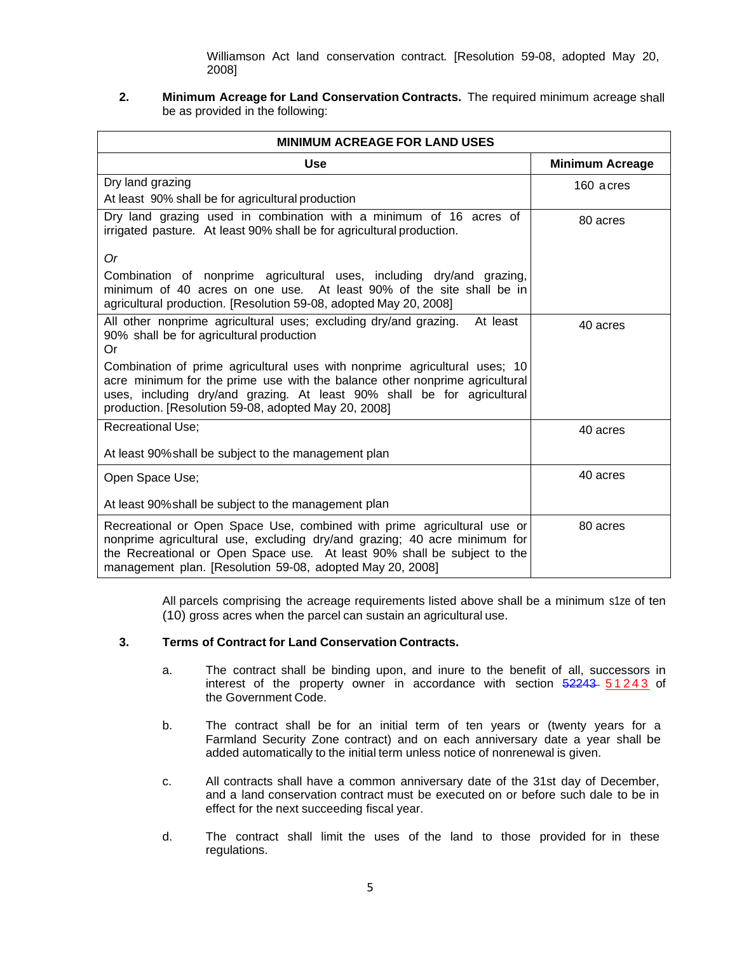Williamson Act land conservation contract*.* [Resolution 59-08, adopted May 20, 2008]

# **2. Minimum Acreage for Land Conservation Contracts.** The required minimum acreage shall be as provided in the following:

| <b>MINIMUM ACREAGE FOR LAND USES</b>                                                                                                                                                                                                                                                          |                        |  |  |
|-----------------------------------------------------------------------------------------------------------------------------------------------------------------------------------------------------------------------------------------------------------------------------------------------|------------------------|--|--|
| <b>Use</b>                                                                                                                                                                                                                                                                                    | <b>Minimum Acreage</b> |  |  |
| Dry land grazing                                                                                                                                                                                                                                                                              | 160 acres              |  |  |
| At least 90% shall be for agricultural production                                                                                                                                                                                                                                             |                        |  |  |
| Dry land grazing used in combination with a minimum of 16 acres of<br>irrigated pasture. At least 90% shall be for agricultural production.                                                                                                                                                   | 80 acres               |  |  |
| 0r                                                                                                                                                                                                                                                                                            |                        |  |  |
| Combination of nonprime agricultural uses, including dry/and grazing,<br>minimum of 40 acres on one use. At least 90% of the site shall be in<br>agricultural production. [Resolution 59-08, adopted May 20, 2008]                                                                            |                        |  |  |
| All other nonprime agricultural uses; excluding dry/and grazing.<br>At least<br>90% shall be for agricultural production<br>Or                                                                                                                                                                | 40 acres               |  |  |
| Combination of prime agricultural uses with nonprime agricultural uses; 10<br>acre minimum for the prime use with the balance other nonprime agricultural<br>uses, including dry/and grazing. At least 90% shall be for agricultural<br>production. [Resolution 59-08, adopted May 20, 2008]  |                        |  |  |
| <b>Recreational Use;</b>                                                                                                                                                                                                                                                                      | 40 acres               |  |  |
| At least 90% shall be subject to the management plan                                                                                                                                                                                                                                          |                        |  |  |
| Open Space Use;                                                                                                                                                                                                                                                                               | 40 acres               |  |  |
| At least 90% shall be subject to the management plan                                                                                                                                                                                                                                          |                        |  |  |
| Recreational or Open Space Use, combined with prime agricultural use or<br>nonprime agricultural use, excluding dry/and grazing; 40 acre minimum for<br>the Recreational or Open Space use. At least 90% shall be subject to the<br>management plan. [Resolution 59-08, adopted May 20, 2008] | 80 acres               |  |  |

All parcels comprising the acreage requirements listed above shall be a minimum s1ze of ten (10) gross acres when the parcel can sustain an agricultural use.

### **3. Terms of Contract for Land Conservation Contracts.**

- a. The contract shall be binding upon, and inure to the benefit of all, successors in interest of the property owner in accordance with section 52243 51243 of the Government Code.
- b. The contract shall be for an initial term of ten years or (twenty years for a Farmland Security Zone contract) and on each anniversary date a year shall be added automatically to the initial term unless notice of nonrenewal is given.
- c. All contracts shall have a common anniversary date of the 31st day of December, and a land conservation contract must be executed on or before such dale to be in effect for the next succeeding fiscal year.
- d. The contract shall limit the uses of the land to those provided for in these regulations.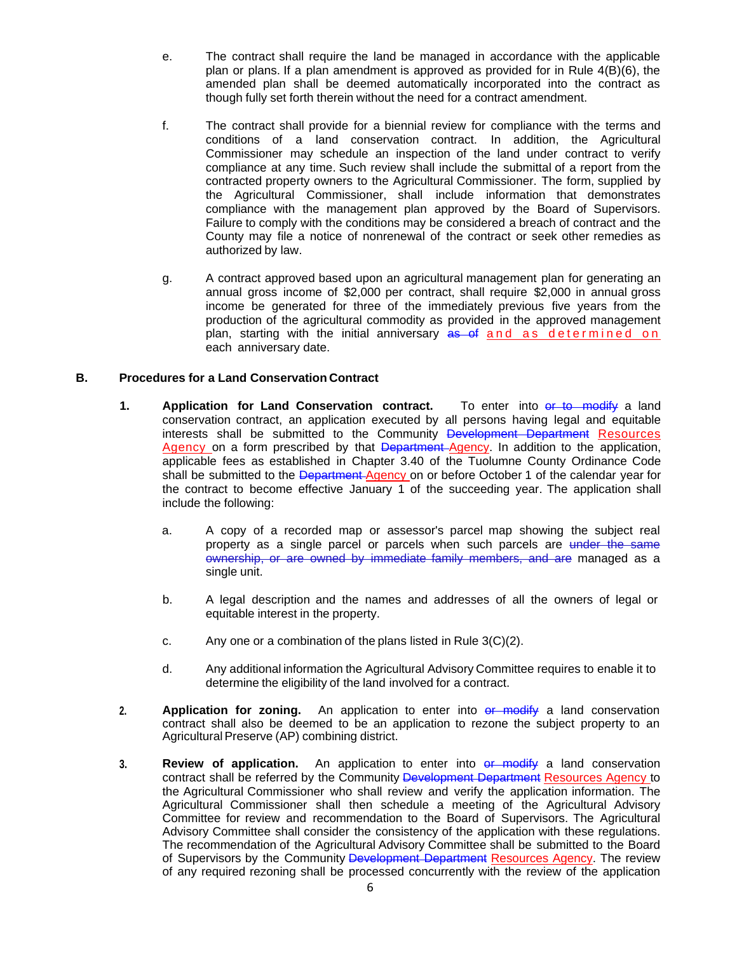- e. The contract shall require the land be managed in accordance with the applicable plan or plans. If a plan amendment is approved as provided for in Rule 4(B)(6), the amended plan shall be deemed automatically incorporated into the contract as though fully set forth therein without the need for a contract amendment.
- f. The contract shall provide for a biennial review for compliance with the terms and conditions of a land conservation contract. In addition, the Agricultural Commissioner may schedule an inspection of the land under contract to verify compliance at any time. Such review shall include the submittal of a report from the contracted property owners to the Agricultural Commissioner. The form, supplied by the Agricultural Commissioner, shall include information that demonstrates compliance with the management plan approved by the Board of Supervisors. Failure to comply with the conditions may be considered a breach of contract and the County may file a notice of nonrenewal of the contract or seek other remedies as authorized by law.
- g. A contract approved based upon an agricultural management plan for generating an annual gross income of \$2,000 per contract, shall require \$2,000 in annual gross income be generated for three of the immediately previous five years from the production of the agricultural commodity as provided in the approved management plan, starting with the initial anniversary as of and as determined on each anniversary date.

# **B. Procedures for a Land Conservation Contract**

- **1.** Application for Land Conservation contract. To enter into or to modify a land conservation contract, an application executed by all persons having legal and equitable interests shall be submitted to the Community Development Department Resources Agency on a form prescribed by that Department Agency. In addition to the application, applicable fees as established in Chapter 3.40 of the Tuolumne County Ordinance Code shall be submitted to the Department-Agency on or before October 1 of the calendar year for the contract to become effective January 1 of the succeeding year. The application shall include the following:
	- a. A copy of a recorded map or assessor's parcel map showing the subject real property as a single parcel or parcels when such parcels are under the same ownership, or are owned by immediate family members, and are managed as a single unit.
	- b. A legal description and the names and addresses of all the owners of legal or equitable interest in the property.
	- c. Any one or a combination of the plans listed in Rule 3(C)(2).
	- d. Any additional information the Agricultural Advisory Committee requires to enable it to determine the eligibility of the land involved for a contract.
- **2. Application for zoning.** An application to enter into or modify a land conservation contract shall also be deemed to be an application to rezone the subject property to an Agricultural Preserve (AP) combining district.
- **3. Review of application.** An application to enter into or modify a land conservation contract shall be referred by the Community Development Department Resources Agency to the Agricultural Commissioner who shall review and verify the application information. The Agricultural Commissioner shall then schedule a meeting of the Agricultural Advisory Committee for review and recommendation to the Board of Supervisors. The Agricultural Advisory Committee shall consider the consistency of the application with these regulations. The recommendation of the Agricultural Advisory Committee shall be submitted to the Board of Supervisors by the Community Development Department Resources Agency. The review of any required rezoning shall be processed concurrently with the review of the application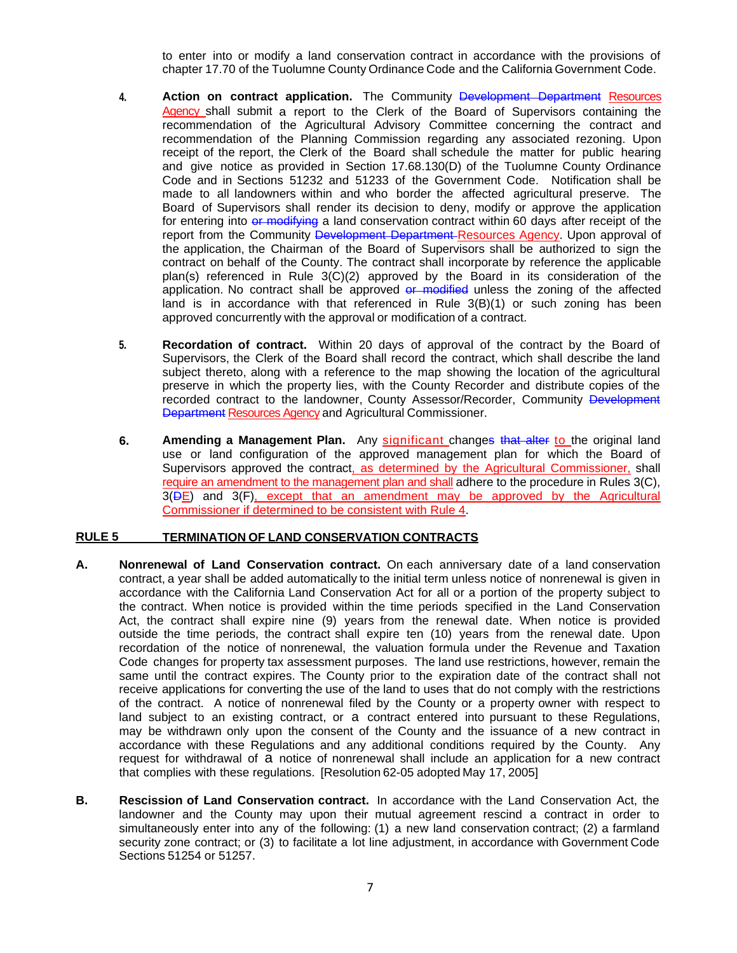to enter into or modify a land conservation contract in accordance with the provisions of chapter 17.70 of the Tuolumne County Ordinance Code and the California Government Code.

- **4. Action on contract application.** The Community Development Department Resources Agency shall submit a report to the Clerk of the Board of Supervisors containing the recommendation of the Agricultural Advisory Committee concerning the contract and recommendation of the Planning Commission regarding any associated rezoning. Upon receipt of the report, the Clerk of the Board shall schedule the matter for public hearing and give notice as provided in Section 17.68.130(D) of the Tuolumne County Ordinance Code and in Sections 51232 and 51233 of the Government Code. Notification shall be made to all landowners within and who border the affected agricultural preserve. The Board of Supervisors shall render its decision to deny, modify or approve the application for entering into or modifying a land conservation contract within 60 days after receipt of the report from the Community Development Department Resources Agency. Upon approval of the application, the Chairman of the Board of Supervisors shall be authorized to sign the contract on behalf of the County. The contract shall incorporate by reference the applicable plan(s) referenced in Rule 3(C)(2) approved by the Board in its consideration of the application. No contract shall be approved or modified unless the zoning of the affected land is in accordance with that referenced in Rule 3(B)(1) or such zoning has been approved concurrently with the approval or modification of a contract.
- **5. Recordation of contract.** Within 20 days of approval of the contract by the Board of Supervisors, the Clerk of the Board shall record the contract, which shall describe the land subject thereto, along with a reference to the map showing the location of the agricultural preserve in which the property lies, with the County Recorder and distribute copies of the recorded contract to the landowner, County Assessor/Recorder, Community Development Department Resources Agency and Agricultural Commissioner.
- **6.** Amending a Management Plan. Any significant changes that alter to the original land use or land configuration of the approved management plan for which the Board of Supervisors approved the contract, as determined by the Agricultural Commissioner, shall require an amendment to the management plan and shall adhere to the procedure in Rules 3(C), 3(DE) and 3(F), except that an amendment may be approved by the Agricultural Commissioner if determined to be consistent with Rule 4.

### **RULE 5 TERMINATION OF LAND CONSERVATION CONTRACTS**

- **A. Nonrenewal of Land Conservation contract.** On each anniversary date of a land conservation contract, a year shall be added automatically to the initial term unless notice of nonrenewal is given in accordance with the California Land Conservation Act for all or a portion of the property subject to the contract. When notice is provided within the time periods specified in the Land Conservation Act, the contract shall expire nine (9) years from the renewal date. When notice is provided outside the time periods, the contract shall expire ten (10) years from the renewal date. Upon recordation of the notice of nonrenewal, the valuation formula under the Revenue and Taxation Code changes for property tax assessment purposes. The land use restrictions, however, remain the same until the contract expires. The County prior to the expiration date of the contract shall not receive applications for converting the use of the land to uses that do not comply with the restrictions of the contract. A notice of nonrenewal filed by the County or a property owner with respect to land subject to an existing contract, or a contract entered into pursuant to these Regulations, may be withdrawn only upon the consent of the County and the issuance of a new contract in accordance with these Regulations and any additional conditions required by the County. Any request for withdrawal of a notice of nonrenewal shall include an application for a new contract that complies with these regulations. [Resolution 62-05 adopted May 17, 2005]
- **B. Rescission of Land Conservation contract.** In accordance with the Land Conservation Act, the landowner and the County may upon their mutual agreement rescind a contract in order to simultaneously enter into any of the following: (1) a new land conservation contract; (2) a farmland security zone contract; or (3) to facilitate a lot line adjustment, in accordance with Government Code Sections 51254 or 51257.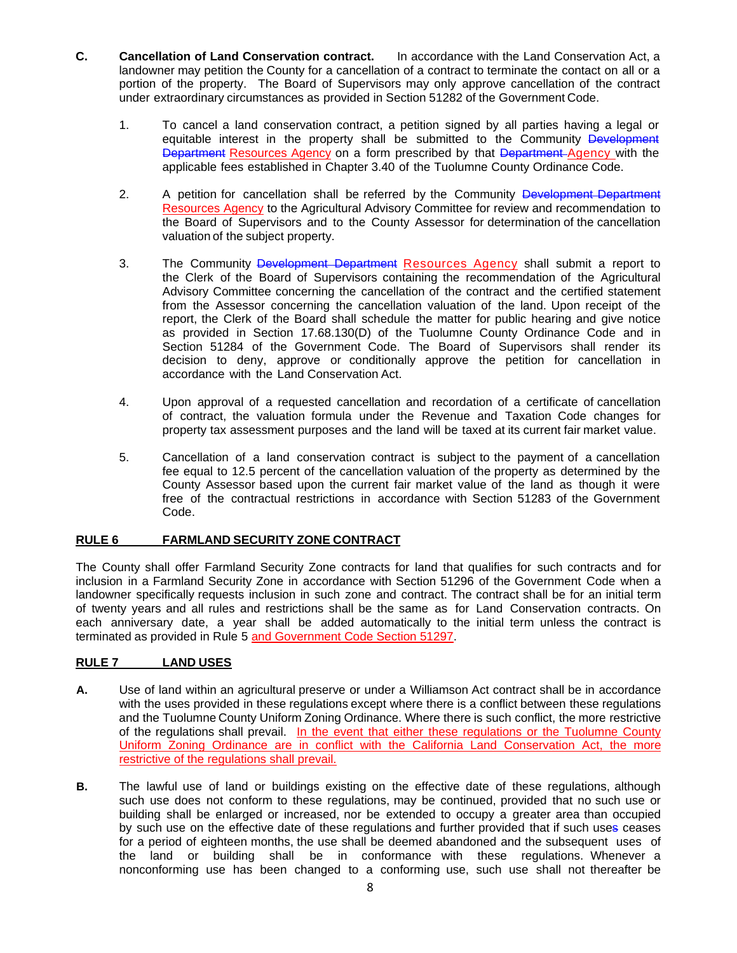- **C. Cancellation of Land Conservation contract.** In accordance with the Land Conservation Act, a landowner may petition the County for a cancellation of a contract to terminate the contact on all or a portion of the property. The Board of Supervisors may only approve cancellation of the contract under extraordinary circumstances as provided in Section 51282 of the Government Code.
	- 1. To cancel a land conservation contract, a petition signed by all parties having a legal or equitable interest in the property shall be submitted to the Community Development Department Resources Agency on a form prescribed by that Department Agency with the applicable fees established in Chapter 3.40 of the Tuolumne County Ordinance Code.
	- 2. A petition for cancellation shall be referred by the Community Development Department Resources Agency to the Agricultural Advisory Committee for review and recommendation to the Board of Supervisors and to the County Assessor for determination of the cancellation valuation of the subject property.
	- 3. The Community Development Department Resources Agency shall submit a report to the Clerk of the Board of Supervisors containing the recommendation of the Agricultural Advisory Committee concerning the cancellation of the contract and the certified statement from the Assessor concerning the cancellation valuation of the land. Upon receipt of the report, the Clerk of the Board shall schedule the matter for public hearing and give notice as provided in Section 17.68.130(D) of the Tuolumne County Ordinance Code and in Section 51284 of the Government Code. The Board of Supervisors shall render its decision to deny, approve or conditionally approve the petition for cancellation in accordance with the Land Conservation Act.
	- 4. Upon approval of a requested cancellation and recordation of a certificate of cancellation of contract, the valuation formula under the Revenue and Taxation Code changes for property tax assessment purposes and the land will be taxed at its current fair market value.
	- 5. Cancellation of a land conservation contract is subject to the payment of a cancellation fee equal to 12.5 percent of the cancellation valuation of the property as determined by the County Assessor based upon the current fair market value of the land as though it were free of the contractual restrictions in accordance with Section 51283 of the Government Code.

# **RULE 6 FARMLAND SECURITY ZONE CONTRACT**

The County shall offer Farmland Security Zone contracts for land that qualifies for such contracts and for inclusion in a Farmland Security Zone in accordance with Section 51296 of the Government Code when a landowner specifically requests inclusion in such zone and contract. The contract shall be for an initial term of twenty years and all rules and restrictions shall be the same as for Land Conservation contracts. On each anniversary date, a year shall be added automatically to the initial term unless the contract is terminated as provided in Rule 5 and Government Code Section 51297.

# **RULE 7 LAND USES**

- **A.** Use of land within an agricultural preserve or under a Williamson Act contract shall be in accordance with the uses provided in these regulations except where there is a conflict between these regulations and the Tuolumne County Uniform Zoning Ordinance. Where there is such conflict, the more restrictive of the regulations shall prevail. In the event that either these regulations or the Tuolumne County Uniform Zoning Ordinance are in conflict with the California Land Conservation Act, the more restrictive of the regulations shall prevail.
- **B.** The lawful use of land or buildings existing on the effective date of these regulations, although such use does not conform to these regulations, may be continued, provided that no such use or building shall be enlarged or increased, nor be extended to occupy a greater area than occupied by such use on the effective date of these regulations and further provided that if such uses ceases for a period of eighteen months, the use shall be deemed abandoned and the subsequent uses of the land or building shall be in conformance with these regulations. Whenever a nonconforming use has been changed to a conforming use, such use shall not thereafter be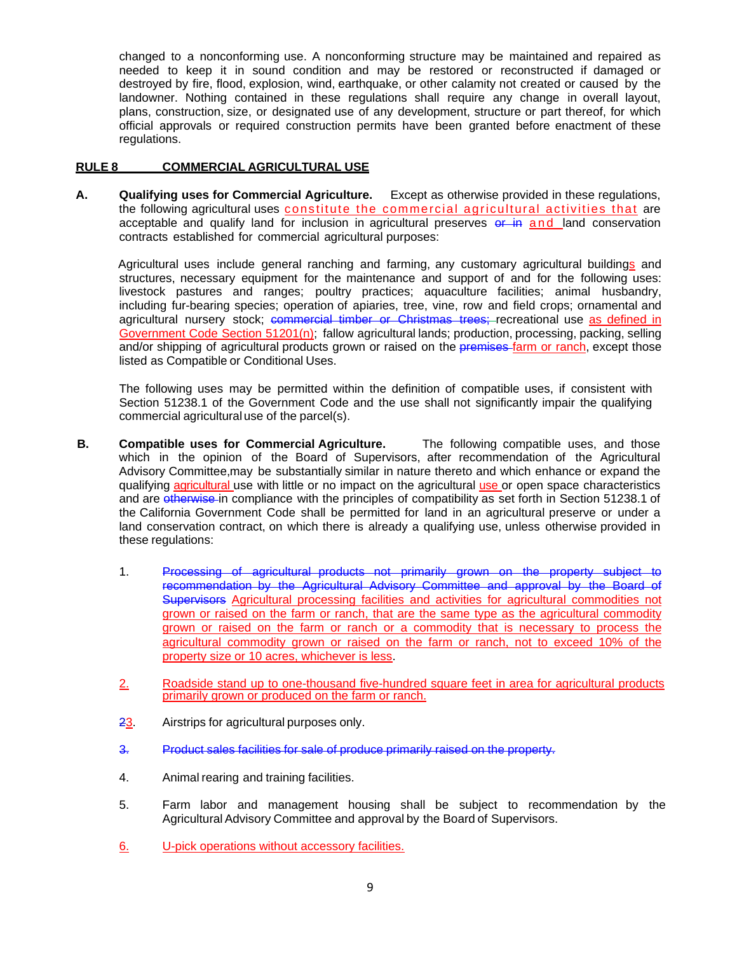changed to a nonconforming use. A nonconforming structure may be maintained and repaired as needed to keep it in sound condition and may be restored or reconstructed if damaged or destroyed by fire, flood, explosion, wind, earthquake, or other calamity not created or caused by the landowner. Nothing contained in these regulations shall require any change in overall layout, plans, construction, size, or designated use of any development, structure or part thereof, for which official approvals or required construction permits have been granted before enactment of these regulations.

#### **RULE 8 COMMERCIAL AGRICULTURAL USE**

**A. Qualifying uses for Commercial Agriculture.** Except as otherwise provided in these regulations, the following agricultural uses constitute the commercial agricultural activities that are acceptable and qualify land for inclusion in agricultural preserves  $er$  in and land conservation contracts established for commercial agricultural purposes:

Agricultural uses include general ranching and farming, any customary agricultural buildings and structures, necessary equipment for the maintenance and support of and for the following uses: livestock pastures and ranges; poultry practices; aquaculture facilities; animal husbandry, including fur-bearing species; operation of apiaries, tree, vine, row and field crops; ornamental and agricultural nursery stock; commercial timber or Christmas trees; recreational use as defined in Government Code Section 51201(n); fallow agricultural lands; production, processing, packing, selling and/or shipping of agricultural products grown or raised on the premises-farm or ranch, except those listed as Compatible or Conditional Uses.

The following uses may be permitted within the definition of compatible uses, if consistent with Section 51238.1 of the Government Code and the use shall not significantly impair the qualifying commercial agricultural use of the parcel(s).

- **B. Compatible uses for Commercial Agriculture.** The following compatible uses, and those which in the opinion of the Board of Supervisors, after recommendation of the Agricultural Advisory Committee, may be substantially similar in nature thereto and which enhance or expand the qualifying agricultural use with little or no impact on the agricultural use or open space characteristics and are otherwise in compliance with the principles of compatibility as set forth in Section 51238.1 of the California Government Code shall be permitted for land in an agricultural preserve or under a land conservation contract, on which there is already a qualifying use, unless otherwise provided in these regulations:
	- 1. Processing of agricultural products not primarily grown on the property subject to recommendation by the Agricultural Advisory Committee and approval by the Board of Supervisors Agricultural processing facilities and activities for agricultural commodities not grown or raised on the farm or ranch, that are the same type as the agricultural commodity grown or raised on the farm or ranch or a commodity that is necessary to process the agricultural commodity grown or raised on the farm or ranch, not to exceed 10% of the property size or 10 acres, whichever is less.
	- 2. Roadside stand up to one-thousand five-hundred square feet in area for agricultural products primarily grown or produced on the farm or ranch.
	- 23. Airstrips for agricultural purposes only.
	- 3. Product sales facilities for sale of produce primarily raised on the property.
	- 4. Animal rearing and training facilities.
	- 5. Farm labor and management housing shall be subject to recommendation by the Agricultural Advisory Committee and approval by the Board of Supervisors.
	- 6. U-pick operations without accessory facilities.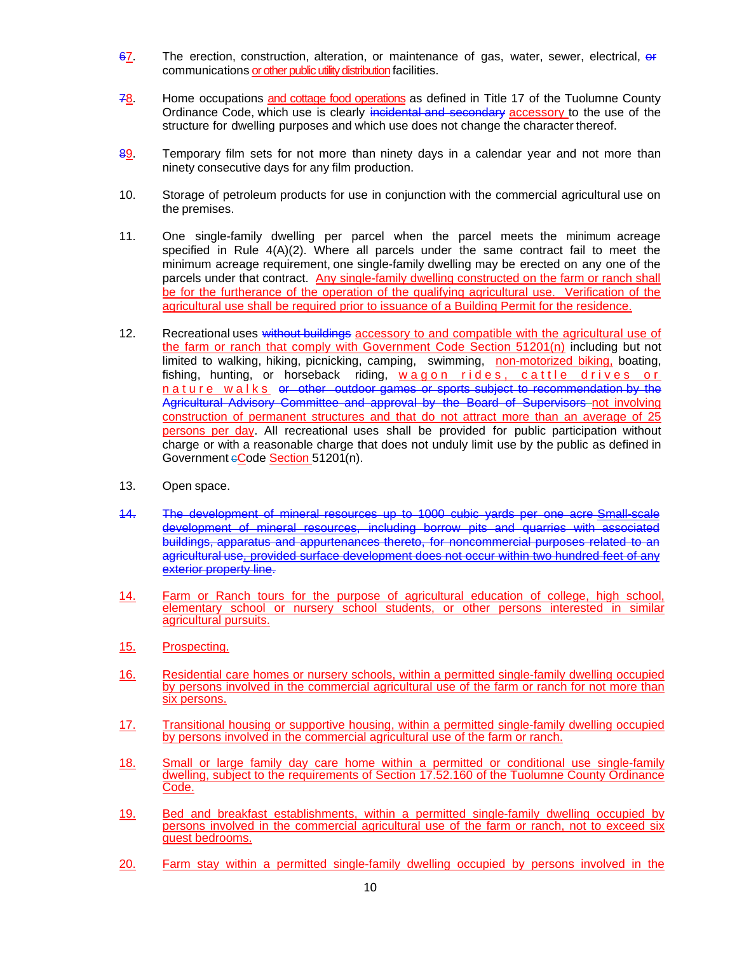- 67. The erection, construction, alteration, or maintenance of gas, water, sewer, electrical, or communications or other public utility distribution facilities.
- 78. Home occupations and cottage food operations as defined in Title 17 of the Tuolumne County Ordinance Code, which use is clearly incidental and secondary accessory to the use of the structure for dwelling purposes and which use does not change the character thereof.
- 89. Temporary film sets for not more than ninety days in a calendar year and not more than ninety consecutive days for any film production.
- 10. Storage of petroleum products for use in conjunction with the commercial agricultural use on the premises.
- 11. One single-family dwelling per parcel when the parcel meets the minimum acreage specified in Rule  $4(A)(2)$ . Where all parcels under the same contract fail to meet the minimum acreage requirement, one single-family dwelling may be erected on any one of the parcels under that contract. Any single-family dwelling constructed on the farm or ranch shall be for the furtherance of the operation of the qualifying agricultural use. Verification of the agricultural use shall be required prior to issuance of a Building Permit for the residence.
- 12. Recreational uses without buildings accessory to and compatible with the agricultural use of the farm or ranch that comply with Government Code Section 51201(n) including but not limited to walking, hiking, picnicking, camping, swimming, non-motorized biking, boating, fishing, hunting, or horseback riding, wagon rides, cattle drives or nature walks or other outdoor games or sports subject to recommendation by the Agricultural Advisory Committee and approval by the Board of Supervisors not involving construction of permanent structures and that do not attract more than an average of 25 persons per day. All recreational uses shall be provided for public participation without charge or with a reasonable charge that does not unduly limit use by the public as defined in Government eCode Section 51201(n).
- 13. Open space.
- 14. The development of mineral resources up to 1000 cubic yards per one acre Small-scale development of mineral resources, including borrow pits and quarries with associated buildings, apparatus and appurtenances thereto, for noncommercial purposes related to an agricultural use, provided surface development does not occur within two hundred feet of any exterior property line.
- 14. Farm or Ranch tours for the purpose of agricultural education of college, high school, elementary school or nursery school students, or other persons interested in similar agricultural pursuits.
- 15. Prospecting.
- 16. Residential care homes or nursery schools, within a permitted single-family dwelling occupied by persons involved in the commercial agricultural use of the farm or ranch for not more than six persons.
- 17. Transitional housing or supportive housing, within a permitted single-family dwelling occupied by persons involved in the commercial agricultural use of the farm or ranch.
- 18. Small or large family day care home within a permitted or conditional use single-family dwelling, subject to the requirements of Section 17.52.160 of the Tuolumne County Ordinance Code.
- 19. Bed and breakfast establishments, within a permitted single-family dwelling occupied by persons involved in the commercial agricultural use of the farm or ranch, not to exceed six guest bedrooms.
- 20. Farm stay within a permitted single-family dwelling occupied by persons involved in the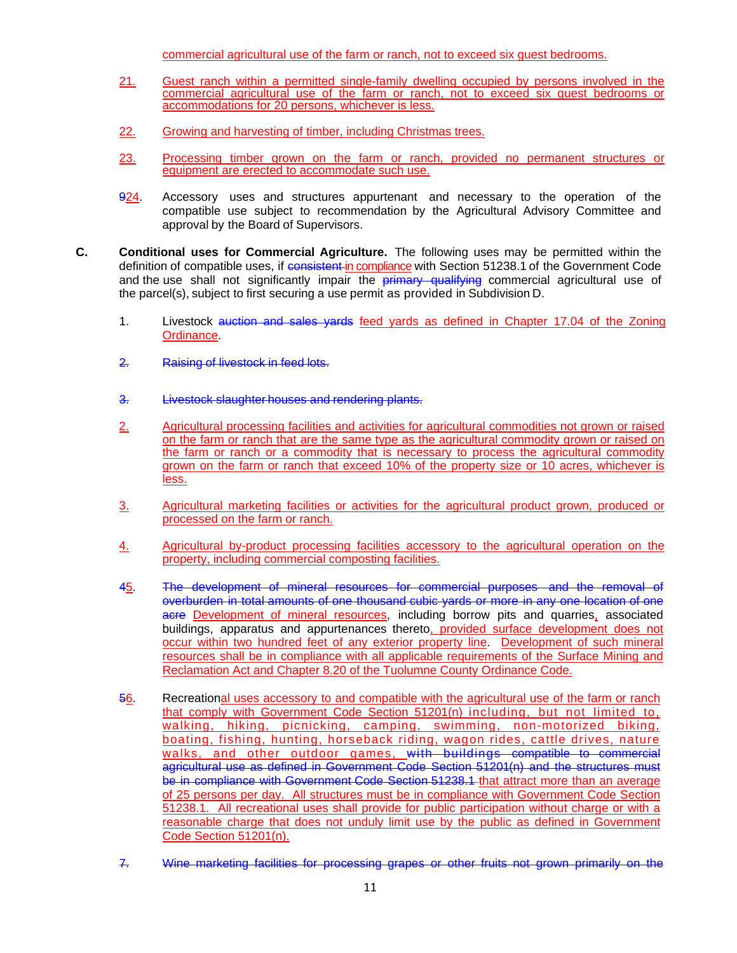commercial agricultural use of the farm or ranch, not to exceed six guest bedrooms.

- 21. Guest ranch within a permitted single-family dwelling occupied by persons involved in the commercial agricultural use of the farm or ranch, not to exceed six guest bedrooms or accommodations for 20 persons, whichever is less.
- 22. Growing and harvesting of timber, including Christmas trees.
- 23. Processing timber grown on the farm or ranch, provided no permanent structures or equipment are erected to accommodate such use.
- 924. Accessory uses and structures appurtenant and necessary to the operation of the compatible use subject to recommendation by the Agricultural Advisory Committee and approval by the Board of Supervisors.
- **C. Conditional uses for Commercial Agriculture.** The following uses may be permitted within the definition of compatible uses, if consistent in compliance with Section 51238.1 of the Government Code and the use shall not significantly impair the **primary qualifying** commercial agricultural use of the parcel(s), subject to first securing a use permit as provided in Subdivision D.
	- 1. Livestock auction and sales yards feed yards as defined in Chapter 17.04 of the Zoning **Ordinance**
	- 2. Raising of livestock in feed lots.
	- 3. Livestock slaughter houses and rendering plants.
	- 2. Agricultural processing facilities and activities for agricultural commodities not grown or raised on the farm or ranch that are the same type as the agricultural commodity grown or raised on the farm or ranch or a commodity that is necessary to process the agricultural commodity grown on the farm or ranch that exceed 10% of the property size or 10 acres, whichever is less.
	- 3. Agricultural marketing facilities or activities for the agricultural product grown, produced or processed on the farm or ranch.
	- 4. Agricultural by-product processing facilities accessory to the agricultural operation on the property, including commercial composting facilities.
	- 45. The development of mineral resources for commercial purposes and the removal of overburden in total amounts of one thousand cubic yards or more in any one location of one acre Development of mineral resources, including borrow pits and quarries, associated buildings, apparatus and appurtenances thereto, provided surface development does not occur within two hundred feet of any exterior property line. Development of such mineral resources shall be in compliance with all applicable requirements of the Surface Mining and Reclamation Act and Chapter 8.20 of the Tuolumne County Ordinance Code.
	- 56. Recreational uses accessory to and compatible with the agricultural use of the farm or ranch that comply with Government Code Section 51201(n) including, but not limited to, walking, hiking, picnicking, camping, swimming, non-motorized biking, boating, fishing, hunting, horseback riding, wagon rides, cattle drives, nature walks, and other outdoor games, with buildings compatible to commercial agricultural use as defined in Government Code Section 51201(n) and the structures must be in compliance with Government Code Section 51238.1 that attract more than an average of 25 persons per day. All structures must be in compliance with Government Code Section 51238.1. All recreational uses shall provide for public participation without charge or with a reasonable charge that does not unduly limit use by the public as defined in Government Code Section 51201(n).
	- 7. Wine marketing facilities for processing grapes or other fruits not grown primarily on the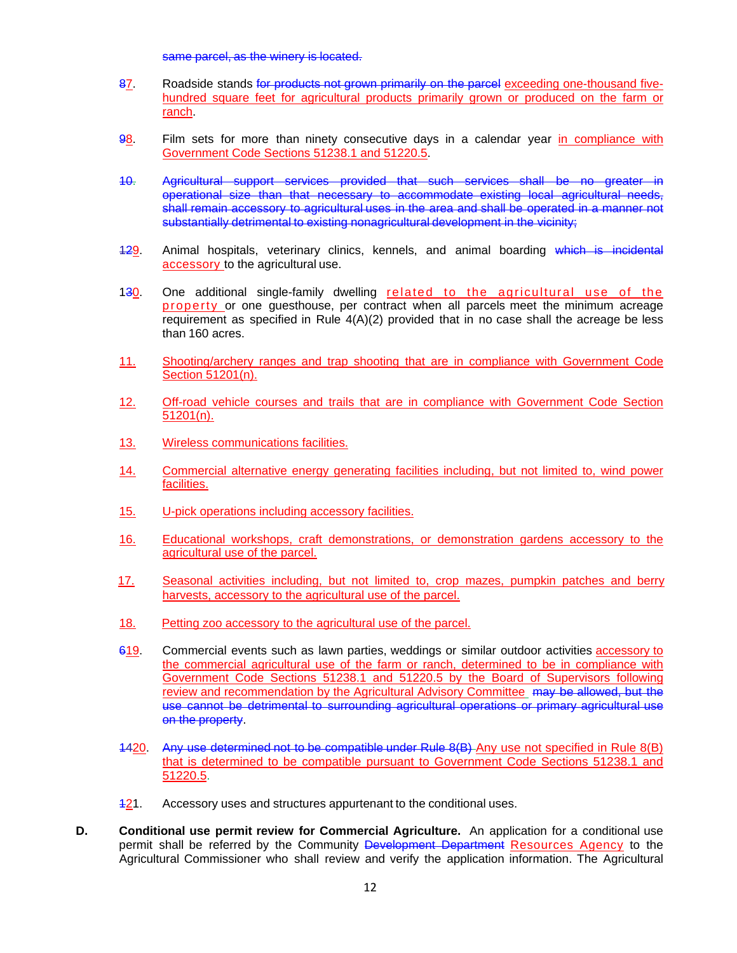same parcel, as the winery is located.

- 87. Roadside stands for products not grown primarily on the parcel exceeding one-thousand fivehundred square feet for agricultural products primarily grown or produced on the farm or ranch.
- 98. Film sets for more than ninety consecutive days in a calendar year in compliance with Government Code Sections 51238.1 and 51220.5.
- 10. Agricultural support services provided that such services shall be no greater in operational size than that necessary to accommodate existing local agricultural needs, shall remain accessory to agricultural uses in the area and shall be operated in a manner not substantially detrimental to existing nonagricultural development in the vicinity;
- 129. Animal hospitals, veterinary clinics, kennels, and animal boarding which is incidental accessory to the agricultural use.
- 130. One additional single-family dwelling related to the agricultural use of the property or one guesthouse, per contract when all parcels meet the minimum acreage requirement as specified in Rule  $4(A)(2)$  provided that in no case shall the acreage be less than 160 acres.
- 11. Shooting/archery ranges and trap shooting that are in compliance with Government Code Section 51201(n).
- 12. Off-road vehicle courses and trails that are in compliance with Government Code Section 51201(n).
- 13. Wireless communications facilities.
- 14. Commercial alternative energy generating facilities including, but not limited to, wind power facilities.
- 15. U-pick operations including accessory facilities.
- 16. Educational workshops, craft demonstrations, or demonstration gardens accessory to the agricultural use of the parcel.
- 17. Seasonal activities including, but not limited to, crop mazes, pumpkin patches and berry harvests, accessory to the agricultural use of the parcel.
- 18. Petting zoo accessory to the agricultural use of the parcel.
- 619. Commercial events such as lawn parties, weddings or similar outdoor activities accessory to the commercial agricultural use of the farm or ranch, determined to be in compliance with Government Code Sections 51238.1 and 51220.5 by the Board of Supervisors following review and recommendation by the Agricultural Advisory Committee may be allowed, but the use cannot be detrimental to surrounding agricultural operations or primary agricultural use on the property.
- 1420. Any use determined not to be compatible under Rule 8(B) Any use not specified in Rule 8(B) that is determined to be compatible pursuant to Government Code Sections 51238.1 and 51220.5.
- 121. Accessory uses and structures appurtenant to the conditional uses.
- **D.** Conditional use permit review for Commercial Agriculture. An application for a conditional use permit shall be referred by the Community Development Department Resources Agency to the Agricultural Commissioner who shall review and verify the application information. The Agricultural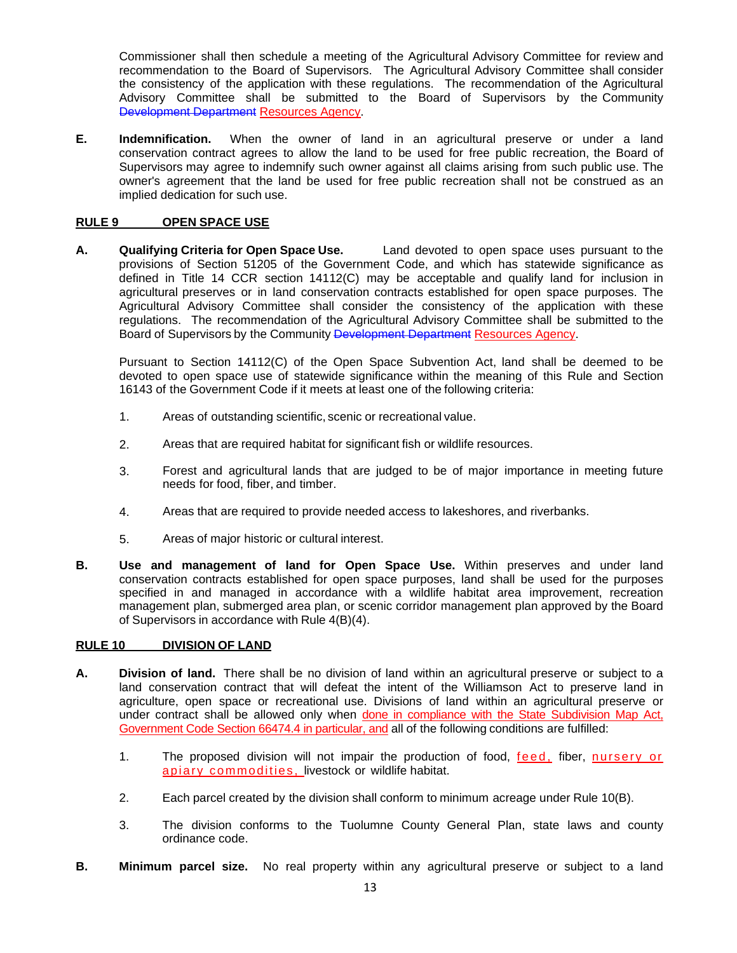Commissioner shall then schedule a meeting of the Agricultural Advisory Committee for review and recommendation to the Board of Supervisors. The Agricultural Advisory Committee shall consider the consistency of the application with these regulations. The recommendation of the Agricultural Advisory Committee shall be submitted to the Board of Supervisors by the Community Development Department Resources Agency.

**E. Indemnification.** When the owner of land in an agricultural preserve or under a land conservation contract agrees to allow the land to be used for free public recreation, the Board of Supervisors may agree to indemnify such owner against all claims arising from such public use. The owner's agreement that the land be used for free public recreation shall not be construed as an implied dedication for such use.

# **RULE 9 OPEN SPACE USE**

**A. Qualifying Criteria for Open Space Use.** Land devoted to open space uses pursuant to the provisions of Section 51205 of the Government Code, and which has statewide significance as defined in Title 14 CCR section 14112(C) may be acceptable and qualify land for inclusion in agricultural preserves or in land conservation contracts established for open space purposes. The Agricultural Advisory Committee shall consider the consistency of the application with these regulations. The recommendation of the Agricultural Advisory Committee shall be submitted to the Board of Supervisors by the Community Development Department Resources Agency.

Pursuant to Section 14112(C) of the Open Space Subvention Act, land shall be deemed to be devoted to open space use of statewide significance within the meaning of this Rule and Section 16143 of the Government Code if it meets at least one of the following criteria:

- 1. Areas of outstanding scientific, scenic or recreational value.
- 2. Areas that are required habitat for significant fish or wildlife resources.
- 3. Forest and agricultural lands that are judged to be of major importance in meeting future needs for food, fiber, and timber.
- 4. Areas that are required to provide needed access to lakeshores, and riverbanks.
- 5. Areas of major historic or cultural interest.
- **B. Use and management of land for Open Space Use.** Within preserves and under land conservation contracts established for open space purposes, land shall be used for the purposes specified in and managed in accordance with a wildlife habitat area improvement, recreation management plan, submerged area plan, or scenic corridor management plan approved by the Board of Supervisors in accordance with Rule 4(B)(4).

### **RULE 10 DIVISION OF LAND**

- **A. Division of land.** There shall be no division of land within an agricultural preserve or subject to a land conservation contract that will defeat the intent of the Williamson Act to preserve land in agriculture, open space or recreational use. Divisions of land within an agricultural preserve or under contract shall be allowed only when done in compliance with the State Subdivision Map Act, Government Code Section 66474.4 in particular, and all of the following conditions are fulfilled:
	- 1. The proposed division will not impair the production of food, feed, fiber, nursery or apiary commodities, livestock or wildlife habitat.
	- 2. Each parcel created by the division shall conform to minimum acreage under Rule 10(B).
	- 3. The division conforms to the Tuolumne County General Plan, state laws and county ordinance code.
- **B. Minimum parcel size.** No real property within any agricultural preserve or subject to a land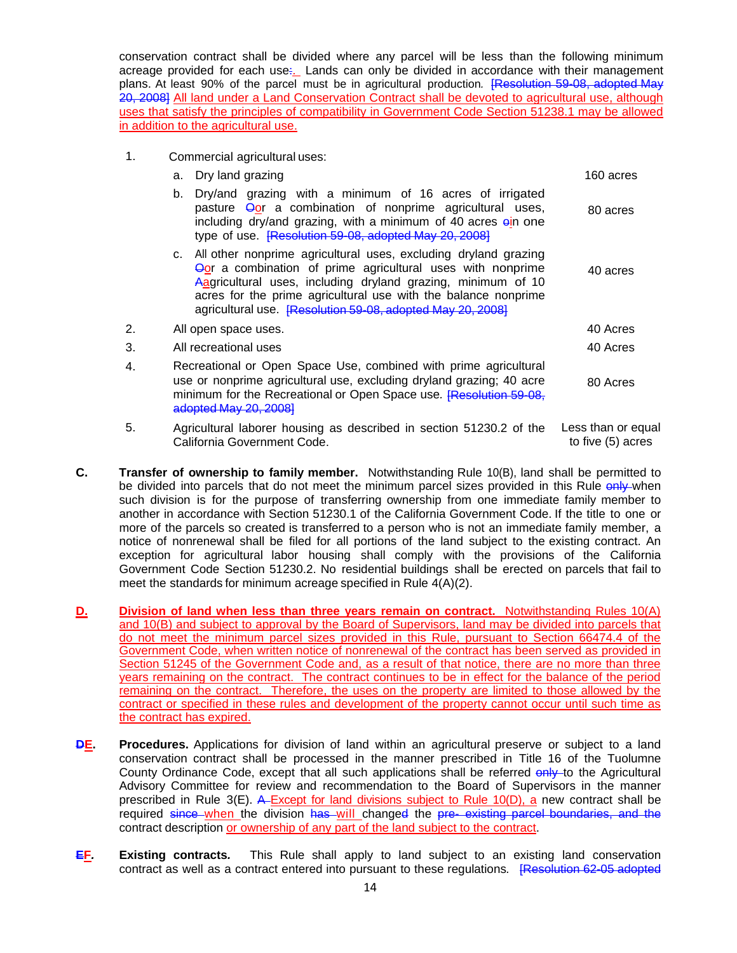conservation contract shall be divided where any parcel will be less than the following minimum acreage provided for each use. Lands can only be divided in accordance with their management plans. At least 90% of the parcel must be in agricultural production*.* [Resolution 59-08, adopted May 20, 2008] All land under a Land Conservation Contract shall be devoted to agricultural use, although uses that satisfy the principles of compatibility in Government Code Section 51238.1 may be allowed in addition to the agricultural use.

1. Commercial agricultural uses:

California Government Code.

|    | a.                                                                                                                                                                                                                                      | Dry land grazing                                                                                                                                                                                                                                                                                                                     | 160 acres          |
|----|-----------------------------------------------------------------------------------------------------------------------------------------------------------------------------------------------------------------------------------------|--------------------------------------------------------------------------------------------------------------------------------------------------------------------------------------------------------------------------------------------------------------------------------------------------------------------------------------|--------------------|
|    | b.                                                                                                                                                                                                                                      | Dry/and grazing with a minimum of 16 acres of irrigated<br>pasture <b>Oor</b> a combination of nonprime agricultural uses,<br>including dry/and grazing, with a minimum of 40 acres ein one<br>type of use. [Resolution 59-08, adopted May 20, 2008]                                                                                 | 80 acres           |
|    | C.                                                                                                                                                                                                                                      | All other nonprime agricultural uses, excluding dryland grazing<br><b>Oor</b> a combination of prime agricultural uses with nonprime<br>Aagricultural uses, including dryland grazing, minimum of 10<br>acres for the prime agricultural use with the balance nonprime<br>agricultural use. [Resolution 59-08, adopted May 20, 2008] | 40 acres           |
| 2. |                                                                                                                                                                                                                                         | All open space uses.                                                                                                                                                                                                                                                                                                                 | 40 Acres           |
| 3. | All recreational uses                                                                                                                                                                                                                   |                                                                                                                                                                                                                                                                                                                                      | 40 Acres           |
| 4. | Recreational or Open Space Use, combined with prime agricultural<br>use or nonprime agricultural use, excluding dryland grazing; 40 acre<br>minimum for the Recreational or Open Space use. [Resolution 59-08,<br>adopted May 20, 2008] |                                                                                                                                                                                                                                                                                                                                      | 80 Acres           |
| 5. |                                                                                                                                                                                                                                         | Agricultural laborer housing as described in section 51230.2 of the                                                                                                                                                                                                                                                                  | Less than or equal |

to five (5) acres

- **C. Transfer of ownership to family member.** Notwithstanding Rule 10(B), land shall be permitted to be divided into parcels that do not meet the minimum parcel sizes provided in this Rule only when such division is for the purpose of transferring ownership from one immediate family member to another in accordance with Section 51230.1 of the California Government Code. If the title to one or more of the parcels so created is transferred to a person who is not an immediate family member, a notice of nonrenewal shall be filed for all portions of the land subject to the existing contract. An exception for agricultural labor housing shall comply with the provisions of the California Government Code Section 51230.2. No residential buildings shall be erected on parcels that fail to meet the standards for minimum acreage specified in Rule  $\overline{A(A)(2)}$ .
- **D. Division of land when less than three years remain on contract.** Notwithstanding Rules 10(A) and 10(B) and subject to approval by the Board of Supervisors, land may be divided into parcels that do not meet the minimum parcel sizes provided in this Rule, pursuant to Section 66474.4 of the Government Code, when written notice of nonrenewal of the contract has been served as provided in Section 51245 of the Government Code and, as a result of that notice, there are no more than three years remaining on the contract. The contract continues to be in effect for the balance of the period remaining on the contract. Therefore, the uses on the property are limited to those allowed by the contract or specified in these rules and development of the property cannot occur until such time as the contract has expired.
- **DE.** Procedures. Applications for division of land within an agricultural preserve or subject to a land conservation contract shall be processed in the manner prescribed in Title 16 of the Tuolumne County Ordinance Code, except that all such applications shall be referred  $\frac{\partial^2 u}{\partial x^2}$  to the Agricultural Advisory Committee for review and recommendation to the Board of Supervisors in the manner prescribed in Rule 3(E). A Except for land divisions subject to Rule 10(D), a new contract shall be required since when the division has will changed the pre-existing parcel boundaries, and the contract description or ownership of any part of the land subject to the contract.
- **EF***.* **Existing contracts***.* This Rule shall apply to land subject to an existing land conservation contract as well as a contract entered into pursuant to these regulations*.* [Resolution 62-05 adopted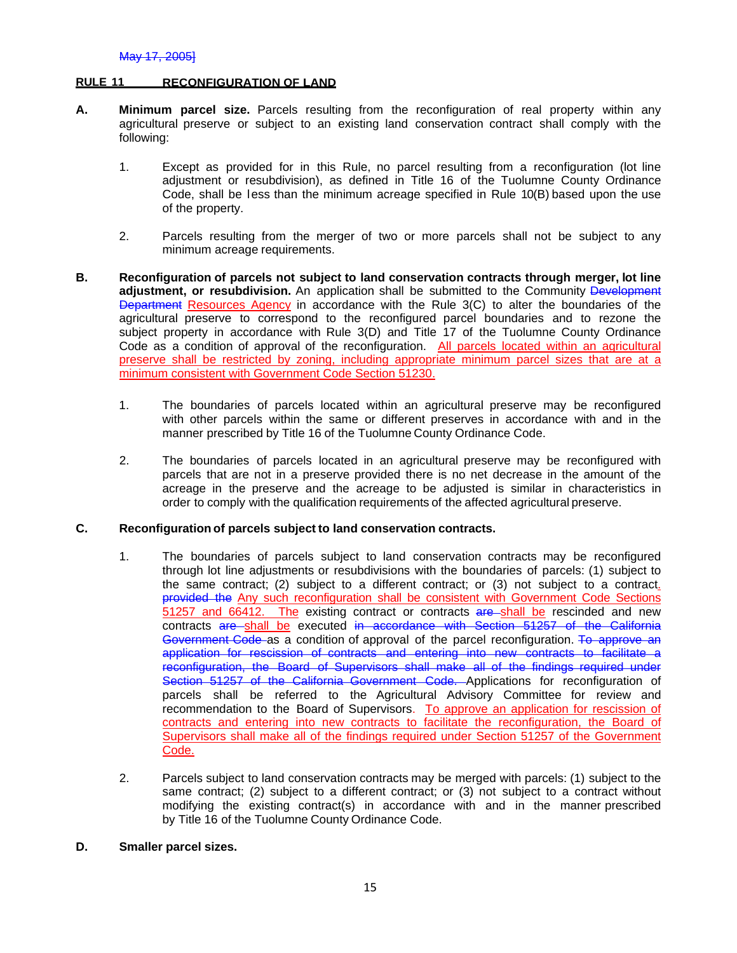#### **RULE 11 RECONFIGURATION OF LAND**

- **A. Minimum parcel size.** Parcels resulting from the reconfiguration of real property within any agricultural preserve or subject to an existing land conservation contract shall comply with the following:
	- 1. Except as provided for in this Rule, no parcel resulting from a reconfiguration (lot line adjustment or resubdivision), as defined in Title 16 of the Tuolumne County Ordinance Code, shall be less than the minimum acreage specified in Rule 10(B) based upon the use of the property.
	- 2. Parcels resulting from the merger of two or more parcels shall not be subject to any minimum acreage requirements.
- **B. Reconfiguration of parcels not subject to land conservation contracts through merger, lot line**  adjustment, or resubdivision. An application shall be submitted to the Community Development Department Resources Agency in accordance with the Rule 3(C) to alter the boundaries of the agricultural preserve to correspond to the reconfigured parcel boundaries and to rezone the subject property in accordance with Rule 3(D) and Title 17 of the Tuolumne County Ordinance Code as a condition of approval of the reconfiguration. All parcels located within an agricultural preserve shall be restricted by zoning, including appropriate minimum parcel sizes that are at a minimum consistent with Government Code Section 51230.
	- 1. The boundaries of parcels located within an agricultural preserve may be reconfigured with other parcels within the same or different preserves in accordance with and in the manner prescribed by Title 16 of the Tuolumne County Ordinance Code.
	- 2. The boundaries of parcels located in an agricultural preserve may be reconfigured with parcels that are not in a preserve provided there is no net decrease in the amount of the acreage in the preserve and the acreage to be adjusted is similar in characteristics in order to comply with the qualification requirements of the affected agricultural preserve.

### **C. Reconfiguration of parcels subject to land conservation contracts.**

- 1. The boundaries of parcels subject to land conservation contracts may be reconfigured through lot line adjustments or resubdivisions with the boundaries of parcels: (1) subject to the same contract; (2) subject to a different contract; or (3) not subject to a contract. provided the Any such reconfiguration shall be consistent with Government Code Sections 51257 and 66412. The existing contract or contracts are shall be rescinded and new contracts are shall be executed in accordance with Section 51257 of the California Government Code as a condition of approval of the parcel reconfiguration. To approve an application for rescission of contracts and entering into new contracts to facilitate a reconfiguration, the Board of Supervisors shall make all of the findings required under Section 51257 of the California Government Code. Applications for reconfiguration of parcels shall be referred to the Agricultural Advisory Committee for review and recommendation to the Board of Supervisors. To approve an application for rescission of contracts and entering into new contracts to facilitate the reconfiguration, the Board of Supervisors shall make all of the findings required under Section 51257 of the Government Code.
- 2. Parcels subject to land conservation contracts may be merged with parcels: (1) subject to the same contract; (2) subject to a different contract; or (3) not subject to a contract without modifying the existing contract(s) in accordance with and in the manner prescribed by Title 16 of the Tuolumne County Ordinance Code.
- **D.Smaller parcel sizes.**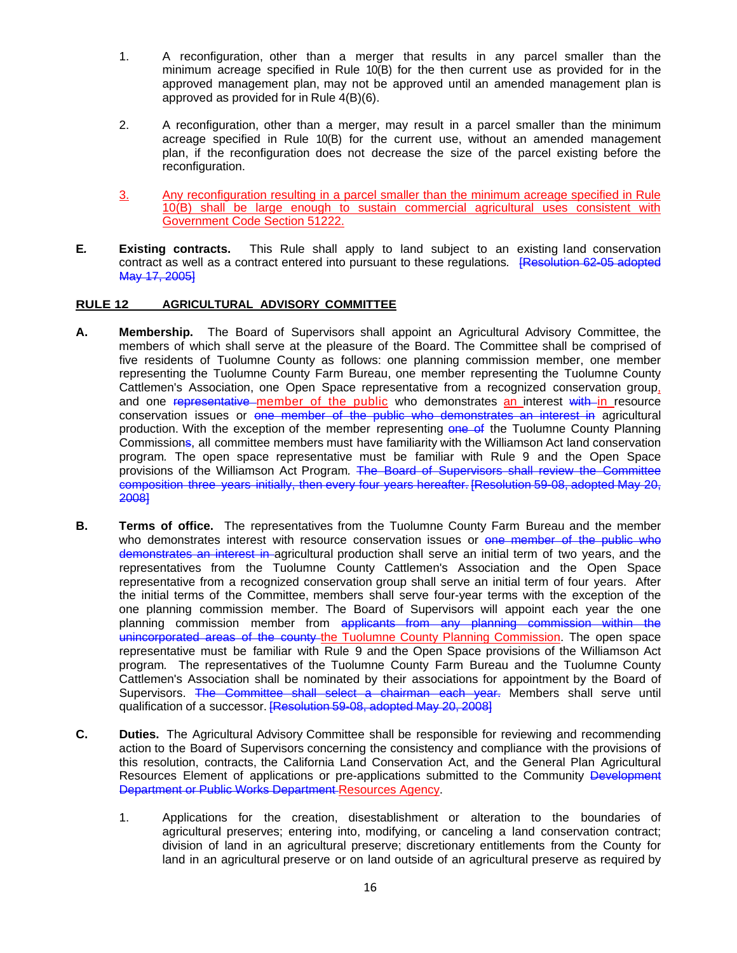- 1. A reconfiguration, other than a merger that results in any parcel smaller than the minimum acreage specified in Rule 10(B) for the then current use as provided for in the approved management plan, may not be approved until an amended management plan is approved as provided for in Rule 4(B)(6).
- 2. A reconfiguration, other than a merger, may result in a parcel smaller than the minimum acreage specified in Rule 10(B) for the current use, without an amended management plan, if the reconfiguration does not decrease the size of the parcel existing before the reconfiguration.
- 3. Any reconfiguration resulting in a parcel smaller than the minimum acreage specified in Rule 10(B) shall be large enough to sustain commercial agricultural uses consistent with Government Code Section 51222.
- **E***.* **Existing contracts.** This Rule shall apply to land subject to an existing land conservation contract as well as a contract entered into pursuant to these regulations*.* [Resolution 62-05 adopted May 17, 2005]

# **RULE 12 AGRICULTURAL ADVISORY COMMITTEE**

- **A. Membership.** The Board of Supervisors shall appoint an Agricultural Advisory Committee, the members of which shall serve at the pleasure of the Board. The Committee shall be comprised of five residents of Tuolumne County as follows: one planning commission member, one member representing the Tuolumne County Farm Bureau, one member representing the Tuolumne County Cattlemen's Association, one Open Space representative from a recognized conservation group, and one representative member of the public who demonstrates an interest with in resource conservation issues or one member of the public who demonstrates an interest in agricultural production. With the exception of the member representing one of the Tuolumne County Planning Commissions, all committee members must have familiarity with the Williamson Act land conservation program*.* The open space representative must be familiar with Rule 9 and the Open Space provisions of the Williamson Act Program. The Board of Supervisors shall review the Committee composition three years initially, then every four years hereafter. [Resolution 59-08, adopted May 20, 2008]
- **B. Terms of office.** The representatives from the Tuolumne County Farm Bureau and the member who demonstrates interest with resource conservation issues or one member of the public who demonstrates an interest in agricultural production shall serve an initial term of two years, and the representatives from the Tuolumne County Cattlemen's Association and the Open Space representative from a recognized conservation group shall serve an initial term of four years. After the initial terms of the Committee, members shall serve four-year terms with the exception of the one planning commission member. The Board of Supervisors will appoint each year the one planning commission member from applicants from any planning commission within the unincorporated areas of the county the Tuolumne County Planning Commission. The open space representative must be familiar with Rule 9 and the Open Space provisions of the Williamson Act program*.* The representatives of the Tuolumne County Farm Bureau and the Tuolumne County Cattlemen's Association shall be nominated by their associations for appointment by the Board of Supervisors. The Committee shall select a chairman each year. Members shall serve until qualification of a successor. [Resolution 59-08, adopted May 20, 2008]
- **C.** Duties. The Agricultural Advisory Committee shall be responsible for reviewing and recommending action to the Board of Supervisors concerning the consistency and compliance with the provisions of this resolution, contracts, the California Land Conservation Act, and the General Plan Agricultural Resources Element of applications or pre-applications submitted to the Community Development Department or Public Works Department Resources Agency.
	- 1. Applications for the creation, disestablishment or alteration to the boundaries of agricultural preserves; entering into, modifying, or canceling a land conservation contract; division of land in an agricultural preserve; discretionary entitlements from the County for land in an agricultural preserve or on land outside of an agricultural preserve as required by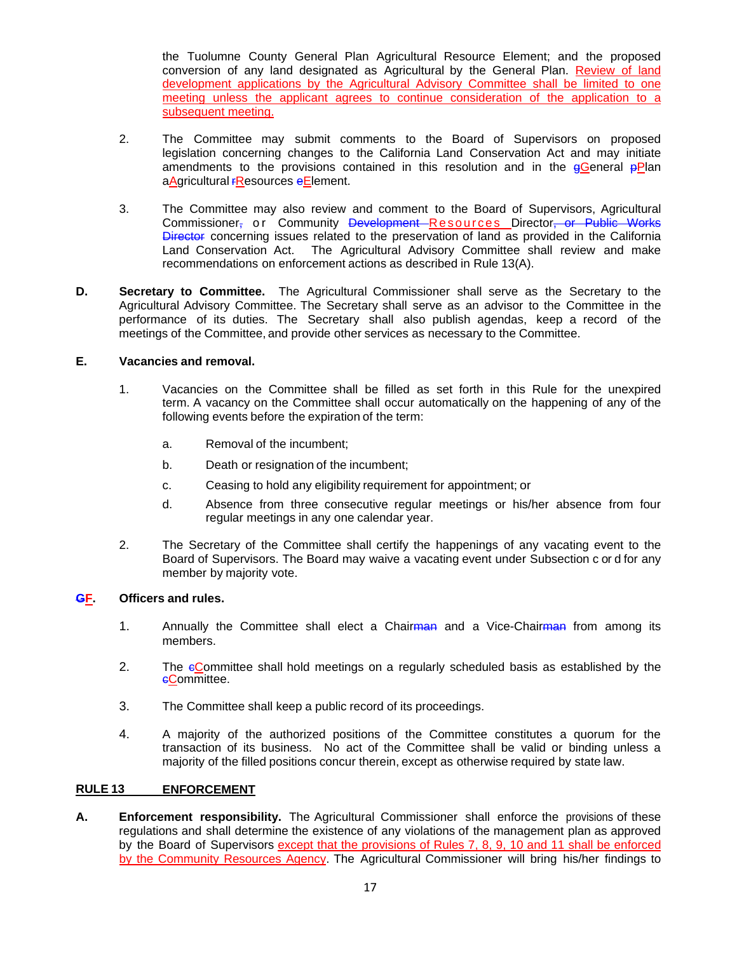the Tuolumne County General Plan Agricultural Resource Element; and the proposed conversion of any land designated as Agricultural by the General Plan. Review of land development applications by the Agricultural Advisory Committee shall be limited to one meeting unless the applicant agrees to continue consideration of the application to a subsequent meeting.

- 2. The Committee may submit comments to the Board of Supervisors on proposed legislation concerning changes to the California Land Conservation Act and may initiate amendments to the provisions contained in this resolution and in the  $g$ General  $p$ Plan aAgricultural **FResources** eElement.
- 3. The Committee may also review and comment to the Board of Supervisors, Agricultural Commissioner, or Community Development Resources Director, or Public Works **Director** concerning issues related to the preservation of land as provided in the California Land Conservation Act. The Agricultural Advisory Committee shall review and make recommendations on enforcement actions as described in Rule 13(A).
- **D. Secretary to Committee.** The Agricultural Commissioner shall serve as the Secretary to the Agricultural Advisory Committee. The Secretary shall serve as an advisor to the Committee in the performance of its duties. The Secretary shall also publish agendas, keep a record of the meetings of the Committee, and provide other services as necessary to the Committee.

# **E.Vacancies and removal.**

- 1. Vacancies on the Committee shall be filled as set forth in this Rule for the unexpired term. A vacancy on the Committee shall occur automatically on the happening of any of the following events before the expiration of the term:
	- a. Removal of the incumbent;
	- b. Death or resignation of the incumbent;
	- c. Ceasing to hold any eligibility requirement for appointment; or
	- d. Absence from three consecutive regular meetings or his/her absence from four regular meetings in any one calendar year.
- 2. The Secretary of the Committee shall certify the happenings of any vacating event to the Board of Supervisors. The Board may waive a vacating event under Subsection c or d for any member by majority vote.

### **GF. Officers and rules.**

- 1. Annually the Committee shall elect a Chairman and a Vice-Chairman from among its members.
- 2. The eCommittee shall hold meetings on a regularly scheduled basis as established by the eCommittee.
- 3. The Committee shall keep a public record of its proceedings.
- 4. A majority of the authorized positions of the Committee constitutes a quorum for the transaction of its business. No act of the Committee shall be valid or binding unless a majority of the filled positions concur therein, except as otherwise required by state law.

### **RULE 13 ENFORCEMENT**

**A. Enforcement responsibility.** The Agricultural Commissioner shall enforce the provisions of these regulations and shall determine the existence of any violations of the management plan as approved by the Board of Supervisors except that the provisions of Rules 7, 8, 9, 10 and 11 shall be enforced by the Community Resources Agency. The Agricultural Commissioner will bring his/her findings to